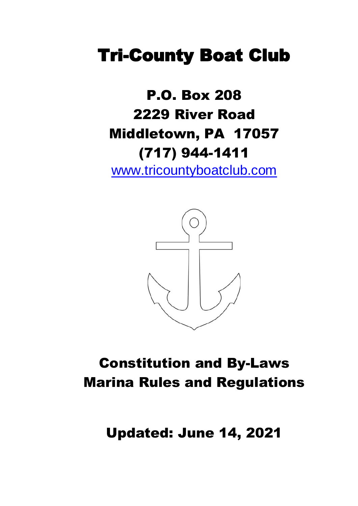# **Tri-County Boat Club**

# P.O. Box 208 2229 River Road Middletown, PA 17057 (717) 944-1411

[www.tricountyboatclub.com](http://www.tricountyboatclub.com/)



# Constitution and By-Laws Marina Rules and Regulations

Updated: June 14, 2021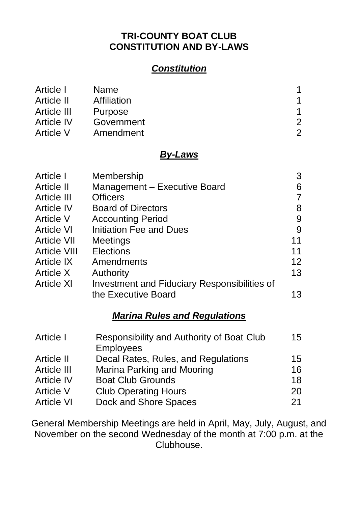#### **TRI-COUNTY BOAT CLUB CONSTITUTION AND BY-LAWS**

## *Constitution*

| Article I   | Name        |   |
|-------------|-------------|---|
| Article II  | Affiliation |   |
| Article III | Purpose     |   |
| Article IV  | Government  | 2 |
| Article V   | Amendment   | 2 |

#### *By-Laws*

| Article I           | Membership                                   | 3  |
|---------------------|----------------------------------------------|----|
| Article II          | Management - Executive Board                 | 6  |
| Article III         | <b>Officers</b>                              | 7  |
| <b>Article IV</b>   | <b>Board of Directors</b>                    | 8  |
| Article V           | <b>Accounting Period</b>                     | 9  |
| <b>Article VI</b>   | <b>Initiation Fee and Dues</b>               | 9  |
| <b>Article VII</b>  | <b>Meetings</b>                              | 11 |
| <b>Article VIII</b> | <b>Elections</b>                             | 11 |
| Article IX          | Amendments                                   | 12 |
| Article X           | Authority                                    | 13 |
| Article XI          | Investment and Fiduciary Responsibilities of |    |
|                     | the Executive Board                          | 13 |
|                     |                                              |    |

## *Marina Rules and Regulations*

| Responsibility and Authority of Boat Club | 15 |
|-------------------------------------------|----|
| <b>Employees</b>                          |    |
| Decal Rates, Rules, and Regulations       | 15 |
| Marina Parking and Mooring                | 16 |
| <b>Boat Club Grounds</b>                  | 18 |
| <b>Club Operating Hours</b>               | 20 |
| Dock and Shore Spaces                     | 21 |
|                                           |    |

General Membership Meetings are held in April, May, July, August, and November on the second Wednesday of the month at 7:00 p.m. at the Clubhouse.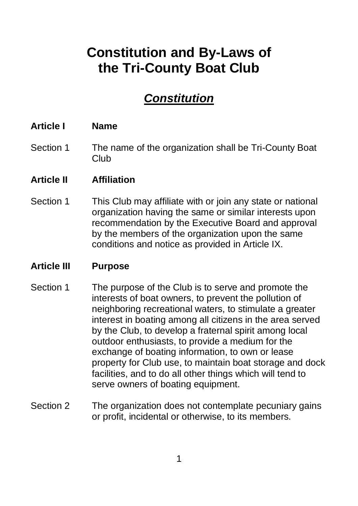## **Constitution and By-Laws of the Tri-County Boat Club**

## *Constitution*

#### **Article I Name**

Section 1 The name of the organization shall be Tri-County Boat Club

#### **Article II Affiliation**

Section 1 This Club may affiliate with or join any state or national organization having the same or similar interests upon recommendation by the Executive Board and approval by the members of the organization upon the same conditions and notice as provided in Article IX.

## **Article III Purpose**

- Section 1 The purpose of the Club is to serve and promote the interests of boat owners, to prevent the pollution of neighboring recreational waters, to stimulate a greater interest in boating among all citizens in the area served by the Club, to develop a fraternal spirit among local outdoor enthusiasts, to provide a medium for the exchange of boating information, to own or lease property for Club use, to maintain boat storage and dock facilities, and to do all other things which will tend to serve owners of boating equipment.
- Section 2 The organization does not contemplate pecuniary gains or profit, incidental or otherwise, to its members.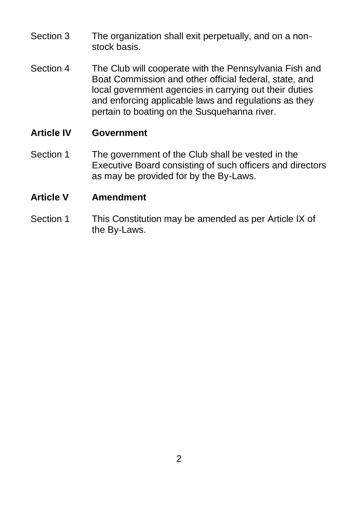- Section 3 The organization shall exit perpetually, and on a nonstock basis.
- Section 4 The Club will cooperate with the Pennsylvania Fish and Boat Commission and other official federal, state, and local government agencies in carrying out their duties and enforcing applicable laws and regulations as they pertain to boating on the Susquehanna river.

## **Article IV Government**

- Section 1 The government of the Club shall be vested in the Executive Board consisting of such officers and directors as may be provided for by the By-Laws.
- **Article V Amendment**
- Section 1 This Constitution may be amended as per Article IX of the By-Laws.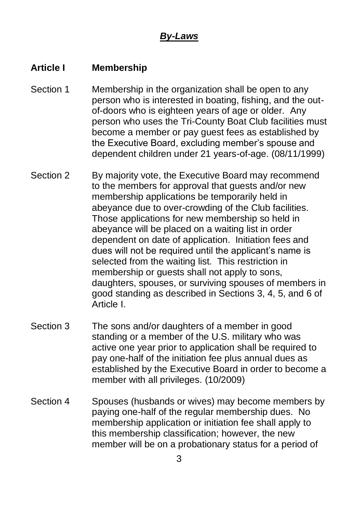## *By-Laws*

## **Article I Membership**

- Section 1 Membership in the organization shall be open to any person who is interested in boating, fishing, and the outof-doors who is eighteen years of age or older. Any person who uses the Tri-County Boat Club facilities must become a member or pay guest fees as established by the Executive Board, excluding member's spouse and dependent children under 21 years-of-age. (08/11/1999)
- Section 2 By majority vote, the Executive Board may recommend to the members for approval that guests and/or new membership applications be temporarily held in abeyance due to over-crowding of the Club facilities. Those applications for new membership so held in abeyance will be placed on a waiting list in order dependent on date of application. Initiation fees and dues will not be required until the applicant's name is selected from the waiting list. This restriction in membership or guests shall not apply to sons, daughters, spouses, or surviving spouses of members in good standing as described in Sections 3, 4, 5, and 6 of Article I.
- Section 3 The sons and/or daughters of a member in good standing or a member of the U.S. military who was active one year prior to application shall be required to pay one-half of the initiation fee plus annual dues as established by the Executive Board in order to become a member with all privileges. (10/2009)
- Section 4 Spouses (husbands or wives) may become members by paying one-half of the regular membership dues. No membership application or initiation fee shall apply to this membership classification; however, the new member will be on a probationary status for a period of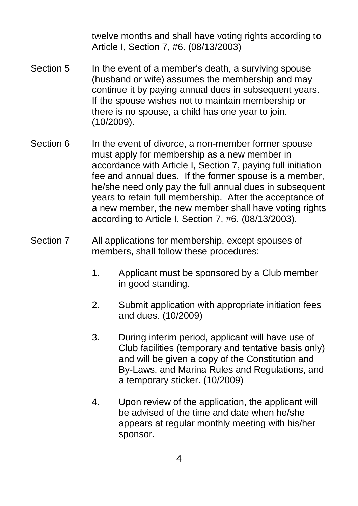twelve months and shall have voting rights according to Article I, Section 7, #6. (08/13/2003)

- Section 5 In the event of a member's death, a surviving spouse (husband or wife) assumes the membership and may continue it by paying annual dues in subsequent years. If the spouse wishes not to maintain membership or there is no spouse, a child has one year to join. (10/2009).
- Section 6 In the event of divorce, a non-member former spouse must apply for membership as a new member in accordance with Article I, Section 7, paying full initiation fee and annual dues. If the former spouse is a member, he/she need only pay the full annual dues in subsequent years to retain full membership. After the acceptance of a new member, the new member shall have voting rights according to Article I, Section 7, #6. (08/13/2003).
- Section 7 All applications for membership, except spouses of members, shall follow these procedures:
	- 1. Applicant must be sponsored by a Club member in good standing.
	- 2. Submit application with appropriate initiation fees and dues. (10/2009)
	- 3. During interim period, applicant will have use of Club facilities (temporary and tentative basis only) and will be given a copy of the Constitution and By-Laws, and Marina Rules and Regulations, and a temporary sticker. (10/2009)
	- 4. Upon review of the application, the applicant will be advised of the time and date when he/she appears at regular monthly meeting with his/her sponsor.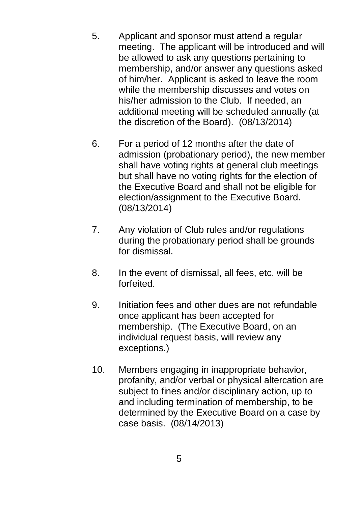- 5. Applicant and sponsor must attend a regular meeting. The applicant will be introduced and will be allowed to ask any questions pertaining to membership, and/or answer any questions asked of him/her. Applicant is asked to leave the room while the membership discusses and votes on his/her admission to the Club. If needed, an additional meeting will be scheduled annually (at the discretion of the Board). (08/13/2014)
- 6. For a period of 12 months after the date of admission (probationary period), the new member shall have voting rights at general club meetings but shall have no voting rights for the election of the Executive Board and shall not be eligible for election/assignment to the Executive Board. (08/13/2014)
- 7. Any violation of Club rules and/or regulations during the probationary period shall be grounds for dismissal.
- 8. In the event of dismissal, all fees, etc. will be forfeited.
- 9. Initiation fees and other dues are not refundable once applicant has been accepted for membership. (The Executive Board, on an individual request basis, will review any exceptions.)
- 10. Members engaging in inappropriate behavior, profanity, and/or verbal or physical altercation are subject to fines and/or disciplinary action, up to and including termination of membership, to be determined by the Executive Board on a case by case basis. (08/14/2013)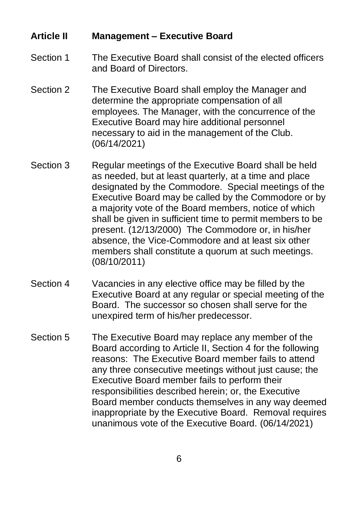#### **Article II Management – Executive Board**

#### Section 1 The Executive Board shall consist of the elected officers and Board of Directors.

- Section 2 The Executive Board shall employ the Manager and determine the appropriate compensation of all employees. The Manager, with the concurrence of the Executive Board may hire additional personnel necessary to aid in the management of the Club. (06/14/2021)
- Section 3 Regular meetings of the Executive Board shall be held as needed, but at least quarterly, at a time and place designated by the Commodore. Special meetings of the Executive Board may be called by the Commodore or by a majority vote of the Board members, notice of which shall be given in sufficient time to permit members to be present. (12/13/2000) The Commodore or, in his/her absence, the Vice-Commodore and at least six other members shall constitute a quorum at such meetings. (08/10/2011)
- Section 4 Vacancies in any elective office may be filled by the Executive Board at any regular or special meeting of the Board. The successor so chosen shall serve for the unexpired term of his/her predecessor.
- Section 5 The Executive Board may replace any member of the Board according to Article II, Section 4 for the following reasons: The Executive Board member fails to attend any three consecutive meetings without just cause; the Executive Board member fails to perform their responsibilities described herein; or, the Executive Board member conducts themselves in any way deemed inappropriate by the Executive Board. Removal requires unanimous vote of the Executive Board. (06/14/2021)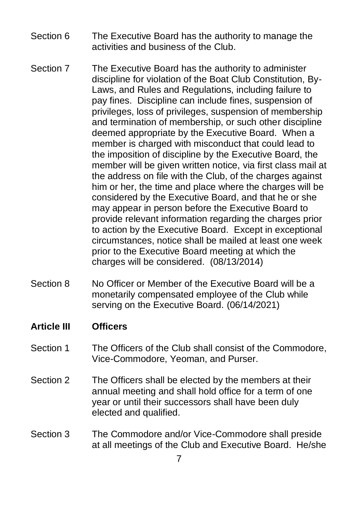- Section 6 The Executive Board has the authority to manage the activities and business of the Club.
- Section 7 The Executive Board has the authority to administer discipline for violation of the Boat Club Constitution, By-Laws, and Rules and Regulations, including failure to pay fines. Discipline can include fines, suspension of privileges, loss of privileges, suspension of membership and termination of membership, or such other discipline deemed appropriate by the Executive Board. When a member is charged with misconduct that could lead to the imposition of discipline by the Executive Board, the member will be given written notice, via first class mail at the address on file with the Club, of the charges against him or her, the time and place where the charges will be considered by the Executive Board, and that he or she may appear in person before the Executive Board to provide relevant information regarding the charges prior to action by the Executive Board. Except in exceptional circumstances, notice shall be mailed at least one week prior to the Executive Board meeting at which the charges will be considered. (08/13/2014)
- Section 8 No Officer or Member of the Executive Board will be a monetarily compensated employee of the Club while serving on the Executive Board. (06/14/2021)

#### **Article III Officers**

- Section 1 The Officers of the Club shall consist of the Commodore, Vice-Commodore, Yeoman, and Purser.
- Section 2 The Officers shall be elected by the members at their annual meeting and shall hold office for a term of one year or until their successors shall have been duly elected and qualified.
- Section 3 The Commodore and/or Vice-Commodore shall preside at all meetings of the Club and Executive Board. He/she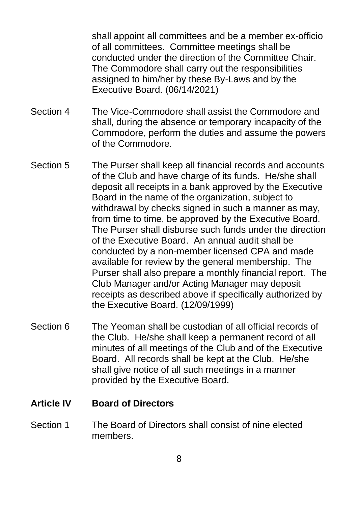shall appoint all committees and be a member ex-officio of all committees. Committee meetings shall be conducted under the direction of the Committee Chair. The Commodore shall carry out the responsibilities assigned to him/her by these By-Laws and by the Executive Board. (06/14/2021)

- Section 4 The Vice-Commodore shall assist the Commodore and shall, during the absence or temporary incapacity of the Commodore, perform the duties and assume the powers of the Commodore.
- Section 5 The Purser shall keep all financial records and accounts of the Club and have charge of its funds. He/she shall deposit all receipts in a bank approved by the Executive Board in the name of the organization, subject to withdrawal by checks signed in such a manner as may, from time to time, be approved by the Executive Board. The Purser shall disburse such funds under the direction of the Executive Board. An annual audit shall be conducted by a non-member licensed CPA and made available for review by the general membership. The Purser shall also prepare a monthly financial report. The Club Manager and/or Acting Manager may deposit receipts as described above if specifically authorized by the Executive Board. (12/09/1999)
- Section 6 The Yeoman shall be custodian of all official records of the Club. He/she shall keep a permanent record of all minutes of all meetings of the Club and of the Executive Board. All records shall be kept at the Club. He/she shall give notice of all such meetings in a manner provided by the Executive Board.

#### **Article IV Board of Directors**

Section 1 The Board of Directors shall consist of nine elected members.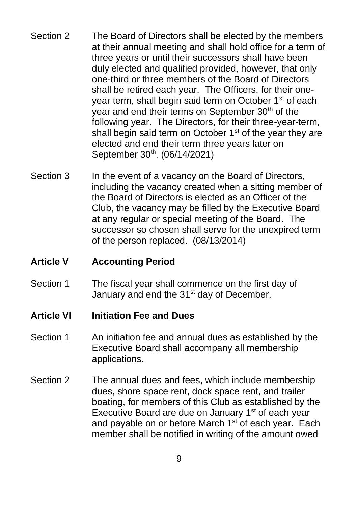- Section 2 The Board of Directors shall be elected by the members at their annual meeting and shall hold office for a term of three years or until their successors shall have been duly elected and qualified provided, however, that only one-third or three members of the Board of Directors shall be retired each year. The Officers, for their oneyear term, shall begin said term on October 1<sup>st</sup> of each year and end their terms on September 30<sup>th</sup> of the following year. The Directors, for their three-year-term, shall begin said term on October  $1<sup>st</sup>$  of the year they are elected and end their term three years later on September 30<sup>th</sup>. (06/14/2021)
- Section 3 In the event of a vacancy on the Board of Directors, including the vacancy created when a sitting member of the Board of Directors is elected as an Officer of the Club, the vacancy may be filled by the Executive Board at any regular or special meeting of the Board. The successor so chosen shall serve for the unexpired term of the person replaced. (08/13/2014)

## **Article V Accounting Period**

Section 1 The fiscal year shall commence on the first day of January and end the 31<sup>st</sup> day of December.

#### **Article VI Initiation Fee and Dues**

- Section 1 An initiation fee and annual dues as established by the Executive Board shall accompany all membership applications.
- Section 2 The annual dues and fees, which include membership dues, shore space rent, dock space rent, and trailer boating, for members of this Club as established by the Executive Board are due on January 1<sup>st</sup> of each year and payable on or before March 1<sup>st</sup> of each year. Each member shall be notified in writing of the amount owed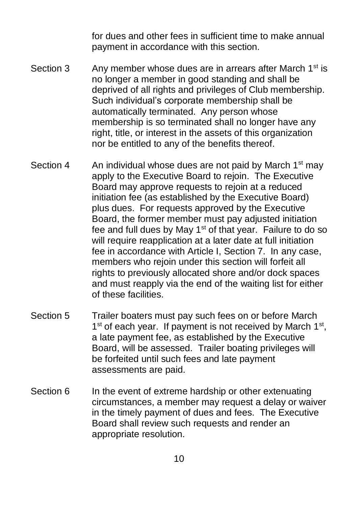for dues and other fees in sufficient time to make annual payment in accordance with this section.

- Section 3 Any member whose dues are in arrears after March  $1<sup>st</sup>$  is no longer a member in good standing and shall be deprived of all rights and privileges of Club membership. Such individual's corporate membership shall be automatically terminated. Any person whose membership is so terminated shall no longer have any right, title, or interest in the assets of this organization nor be entitled to any of the benefits thereof.
- Section 4 An individual whose dues are not paid by March  $1<sup>st</sup>$  may apply to the Executive Board to rejoin. The Executive Board may approve requests to rejoin at a reduced initiation fee (as established by the Executive Board) plus dues. For requests approved by the Executive Board, the former member must pay adjusted initiation fee and full dues by May  $1<sup>st</sup>$  of that year. Failure to do so will require reapplication at a later date at full initiation fee in accordance with Article I, Section 7. In any case, members who rejoin under this section will forfeit all rights to previously allocated shore and/or dock spaces and must reapply via the end of the waiting list for either of these facilities.
- Section 5 Trailer boaters must pay such fees on or before March 1<sup>st</sup> of each year. If payment is not received by March 1<sup>st</sup>, a late payment fee, as established by the Executive Board, will be assessed. Trailer boating privileges will be forfeited until such fees and late payment assessments are paid.
- Section 6 In the event of extreme hardship or other extenuating circumstances, a member may request a delay or waiver in the timely payment of dues and fees. The Executive Board shall review such requests and render an appropriate resolution.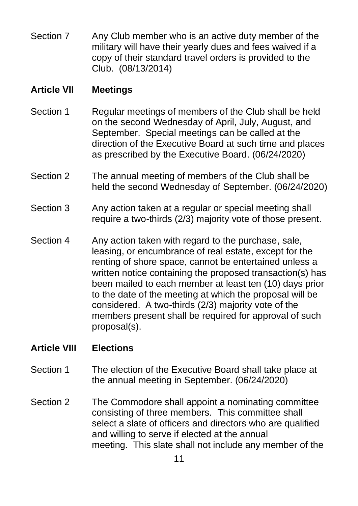Section 7 Any Club member who is an active duty member of the military will have their yearly dues and fees waived if a copy of their standard travel orders is provided to the Club. (08/13/2014)

## **Article VII Meetings**

- Section 1 Regular meetings of members of the Club shall be held on the second Wednesday of April, July, August, and September. Special meetings can be called at the direction of the Executive Board at such time and places as prescribed by the Executive Board. (06/24/2020)
- Section 2 The annual meeting of members of the Club shall be held the second Wednesday of September. (06/24/2020)
- Section 3 Any action taken at a regular or special meeting shall require a two-thirds (2/3) majority vote of those present.
- Section 4 Any action taken with regard to the purchase, sale, leasing, or encumbrance of real estate, except for the renting of shore space, cannot be entertained unless a written notice containing the proposed transaction(s) has been mailed to each member at least ten (10) days prior to the date of the meeting at which the proposal will be considered. A two-thirds (2/3) majority vote of the members present shall be required for approval of such proposal(s).

## **Article VIII Elections**

- Section 1 The election of the Executive Board shall take place at the annual meeting in September. (06/24/2020)
- Section 2 The Commodore shall appoint a nominating committee consisting of three members. This committee shall select a slate of officers and directors who are qualified and willing to serve if elected at the annual meeting. This slate shall not include any member of the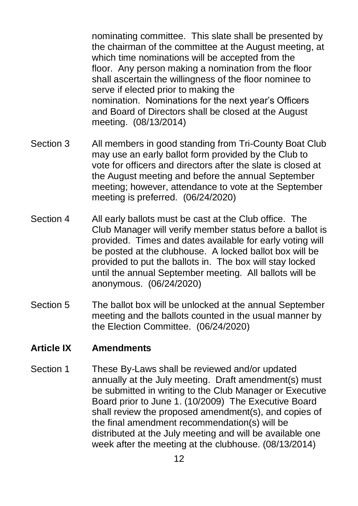nominating committee. This slate shall be presented by the chairman of the committee at the August meeting, at which time nominations will be accepted from the floor. Any person making a nomination from the floor shall ascertain the willingness of the floor nominee to serve if elected prior to making the nomination. Nominations for the next year's Officers and Board of Directors shall be closed at the August meeting. (08/13/2014)

- Section 3 All members in good standing from Tri-County Boat Club may use an early ballot form provided by the Club to vote for officers and directors after the slate is closed at the August meeting and before the annual September meeting; however, attendance to vote at the September meeting is preferred. (06/24/2020)
- Section 4 All early ballots must be cast at the Club office. The Club Manager will verify member status before a ballot is provided. Times and dates available for early voting will be posted at the clubhouse. A locked ballot box will be provided to put the ballots in. The box will stay locked until the annual September meeting. All ballots will be anonymous. (06/24/2020)
- Section 5 The ballot box will be unlocked at the annual September meeting and the ballots counted in the usual manner by the Election Committee. (06/24/2020)

## **Article IX Amendments**

Section 1 These By-Laws shall be reviewed and/or updated annually at the July meeting. Draft amendment(s) must be submitted in writing to the Club Manager or Executive Board prior to June 1. (10/2009) The Executive Board shall review the proposed amendment(s), and copies of the final amendment recommendation(s) will be distributed at the July meeting and will be available one week after the meeting at the clubhouse. (08/13/2014)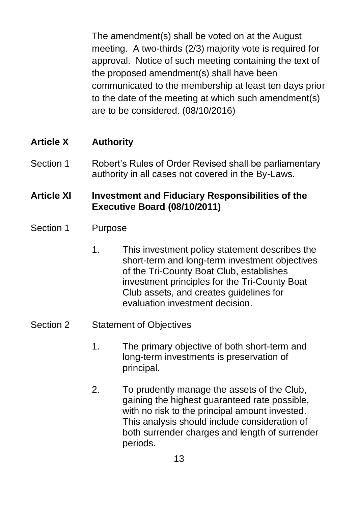The amendment(s) shall be voted on at the August meeting. A two-thirds (2/3) majority vote is required for approval. Notice of such meeting containing the text of the proposed amendment(s) shall have been communicated to the membership at least ten days prior to the date of the meeting at which such amendment(s) are to be considered. (08/10/2016)

## **Article X Authority**

Section 1 Robert's Rules of Order Revised shall be parliamentary authority in all cases not covered in the By-Laws.

## **Article XI Investment and Fiduciary Responsibilities of the Executive Board (08/10/2011)**

- Section 1 Purpose
	- 1. This investment policy statement describes the short-term and long-term investment objectives of the Tri-County Boat Club, establishes investment principles for the Tri-County Boat Club assets, and creates guidelines for evaluation investment decision.

## Section 2 Statement of Objectives

- 1. The primary objective of both short-term and long-term investments is preservation of principal.
- 2. To prudently manage the assets of the Club, gaining the highest guaranteed rate possible, with no risk to the principal amount invested. This analysis should include consideration of both surrender charges and length of surrender periods.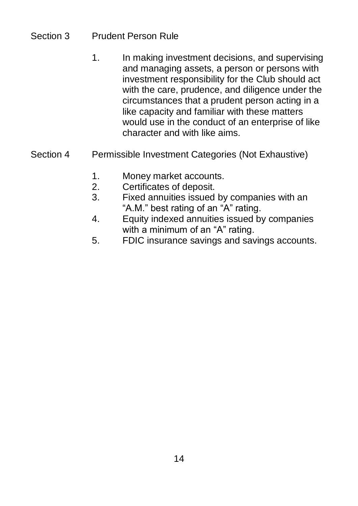## Section 3 Prudent Person Rule

- 1. In making investment decisions, and supervising and managing assets, a person or persons with investment responsibility for the Club should act with the care, prudence, and diligence under the circumstances that a prudent person acting in a like capacity and familiar with these matters would use in the conduct of an enterprise of like character and with like aims.
- Section 4 Permissible Investment Categories (Not Exhaustive)
	- 1. Money market accounts.
	- 2. Certificates of deposit.
	- 3. Fixed annuities issued by companies with an "A.M." best rating of an "A" rating.
	- 4. Equity indexed annuities issued by companies with a minimum of an "A" rating.
	- 5. FDIC insurance savings and savings accounts.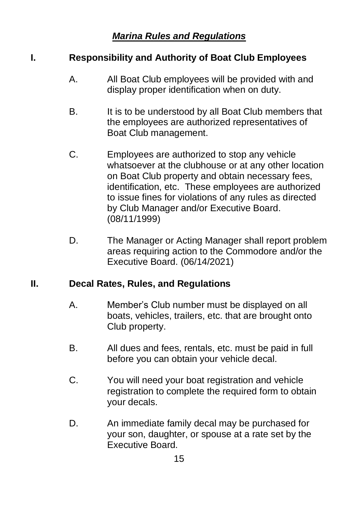## *Marina Rules and Regulations*

## **I. Responsibility and Authority of Boat Club Employees**

- A. All Boat Club employees will be provided with and display proper identification when on duty.
- B. It is to be understood by all Boat Club members that the employees are authorized representatives of Boat Club management.
- C. Employees are authorized to stop any vehicle whatsoever at the clubhouse or at any other location on Boat Club property and obtain necessary fees, identification, etc. These employees are authorized to issue fines for violations of any rules as directed by Club Manager and/or Executive Board. (08/11/1999)
- D. The Manager or Acting Manager shall report problem areas requiring action to the Commodore and/or the Executive Board. (06/14/2021)

## **II. Decal Rates, Rules, and Regulations**

- A. Member's Club number must be displayed on all boats, vehicles, trailers, etc. that are brought onto Club property.
- B. All dues and fees, rentals, etc. must be paid in full before you can obtain your vehicle decal.
- C. You will need your boat registration and vehicle registration to complete the required form to obtain your decals.
- D. An immediate family decal may be purchased for your son, daughter, or spouse at a rate set by the Executive Board.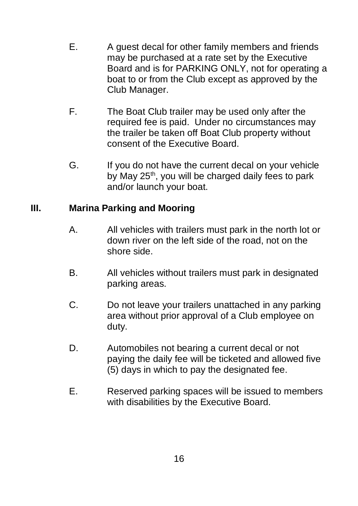- E. A guest decal for other family members and friends may be purchased at a rate set by the Executive Board and is for PARKING ONLY, not for operating a boat to or from the Club except as approved by the Club Manager.
- F. The Boat Club trailer may be used only after the required fee is paid. Under no circumstances may the trailer be taken off Boat Club property without consent of the Executive Board.
- G. If you do not have the current decal on your vehicle by May  $25<sup>th</sup>$ , you will be charged daily fees to park and/or launch your boat.

## **III. Marina Parking and Mooring**

- A. All vehicles with trailers must park in the north lot or down river on the left side of the road, not on the shore side.
- B. All vehicles without trailers must park in designated parking areas.
- C. Do not leave your trailers unattached in any parking area without prior approval of a Club employee on duty.
- D. Automobiles not bearing a current decal or not paying the daily fee will be ticketed and allowed five (5) days in which to pay the designated fee.
- E. Reserved parking spaces will be issued to members with disabilities by the Executive Board.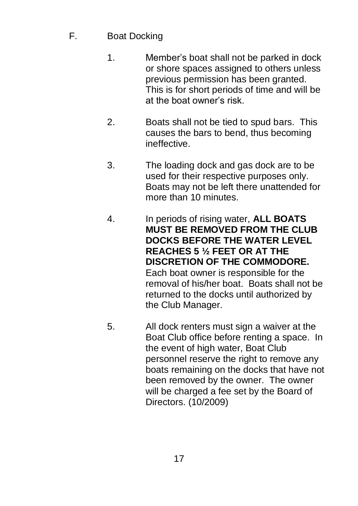- F. Boat Docking
	- 1. Member's boat shall not be parked in dock or shore spaces assigned to others unless previous permission has been granted. This is for short periods of time and will be at the boat owner's risk.
	- 2. Boats shall not be tied to spud bars. This causes the bars to bend, thus becoming ineffective.
	- 3. The loading dock and gas dock are to be used for their respective purposes only. Boats may not be left there unattended for more than 10 minutes.
	- 4. In periods of rising water, **ALL BOATS MUST BE REMOVED FROM THE CLUB DOCKS BEFORE THE WATER LEVEL REACHES 5 ½ FEET OR AT THE DISCRETION OF THE COMMODORE.** Each boat owner is responsible for the removal of his/her boat. Boats shall not be returned to the docks until authorized by the Club Manager.
	- 5. All dock renters must sign a waiver at the Boat Club office before renting a space. In the event of high water, Boat Club personnel reserve the right to remove any boats remaining on the docks that have not been removed by the owner. The owner will be charged a fee set by the Board of Directors. (10/2009)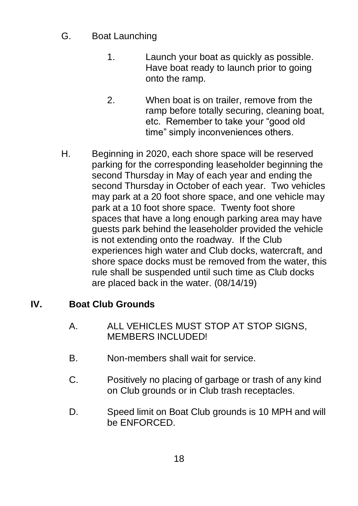- G. Boat Launching
	- 1. Launch your boat as quickly as possible. Have boat ready to launch prior to going onto the ramp.
	- 2. When boat is on trailer, remove from the ramp before totally securing, cleaning boat, etc. Remember to take your "good old time" simply inconveniences others.
- H. Beginning in 2020, each shore space will be reserved parking for the corresponding leaseholder beginning the second Thursday in May of each year and ending the second Thursday in October of each year. Two vehicles may park at a 20 foot shore space, and one vehicle may park at a 10 foot shore space. Twenty foot shore spaces that have a long enough parking area may have guests park behind the leaseholder provided the vehicle is not extending onto the roadway. If the Club experiences high water and Club docks, watercraft, and shore space docks must be removed from the water, this rule shall be suspended until such time as Club docks are placed back in the water. (08/14/19)

## **IV. Boat Club Grounds**

- A. ALL VEHICLES MUST STOP AT STOP SIGNS, MEMBERS INCLUDED!
- B. Non-members shall wait for service.
- C. Positively no placing of garbage or trash of any kind on Club grounds or in Club trash receptacles.
- D. Speed limit on Boat Club grounds is 10 MPH and will be ENFORCED.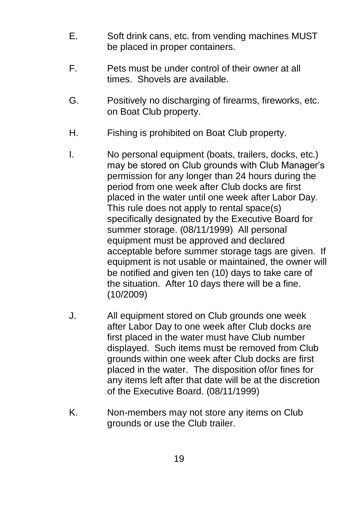- E. Soft drink cans, etc. from vending machines MUST be placed in proper containers.
- F. Pets must be under control of their owner at all times. Shovels are available.
- G. Positively no discharging of firearms, fireworks, etc. on Boat Club property.
- H. Fishing is prohibited on Boat Club property.
- I. No personal equipment (boats, trailers, docks, etc.) may be stored on Club grounds with Club Manager's permission for any longer than 24 hours during the period from one week after Club docks are first placed in the water until one week after Labor Day. This rule does not apply to rental space(s) specifically designated by the Executive Board for summer storage. (08/11/1999) All personal equipment must be approved and declared acceptable before summer storage tags are given. If equipment is not usable or maintained, the owner will be notified and given ten (10) days to take care of the situation. After 10 days there will be a fine. (10/2009)
- J. All equipment stored on Club grounds one week after Labor Day to one week after Club docks are first placed in the water must have Club number displayed. Such items must be removed from Club grounds within one week after Club docks are first placed in the water. The disposition of/or fines for any items left after that date will be at the discretion of the Executive Board. (08/11/1999)
- K. Non-members may not store any items on Club grounds or use the Club trailer.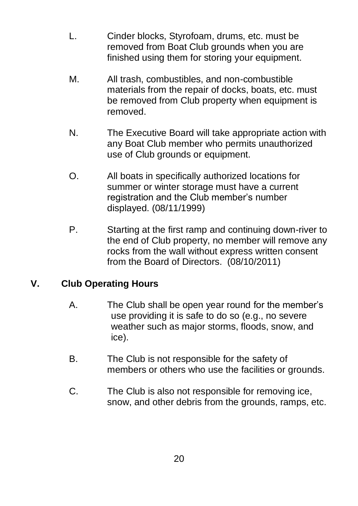- L. Cinder blocks, Styrofoam, drums, etc. must be removed from Boat Club grounds when you are finished using them for storing your equipment.
- M. All trash, combustibles, and non-combustible materials from the repair of docks, boats, etc. must be removed from Club property when equipment is removed.
- N. The Executive Board will take appropriate action with any Boat Club member who permits unauthorized use of Club grounds or equipment.
- O. All boats in specifically authorized locations for summer or winter storage must have a current registration and the Club member's number displayed. (08/11/1999)
- P. Starting at the first ramp and continuing down-river to the end of Club property, no member will remove any rocks from the wall without express written consent from the Board of Directors. (08/10/2011)

## **V. Club Operating Hours**

- A. The Club shall be open year round for the member's use providing it is safe to do so (e.g., no severe weather such as major storms, floods, snow, and ice).
- B. The Club is not responsible for the safety of members or others who use the facilities or grounds.
- C. The Club is also not responsible for removing ice, snow, and other debris from the grounds, ramps, etc.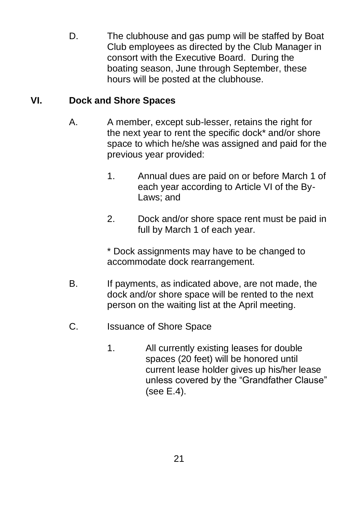D. The clubhouse and gas pump will be staffed by Boat Club employees as directed by the Club Manager in consort with the Executive Board. During the boating season, June through September, these hours will be posted at the clubhouse.

## **VI. Dock and Shore Spaces**

- A. A member, except sub-lesser, retains the right for the next year to rent the specific dock\* and/or shore space to which he/she was assigned and paid for the previous year provided:
	- 1. Annual dues are paid on or before March 1 of each year according to Article VI of the By-Laws; and
	- 2. Dock and/or shore space rent must be paid in full by March 1 of each year.

\* Dock assignments may have to be changed to accommodate dock rearrangement.

- B. If payments, as indicated above, are not made, the dock and/or shore space will be rented to the next person on the waiting list at the April meeting.
- C. Issuance of Shore Space
	- 1. All currently existing leases for double spaces (20 feet) will be honored until current lease holder gives up his/her lease unless covered by the "Grandfather Clause" (see E.4).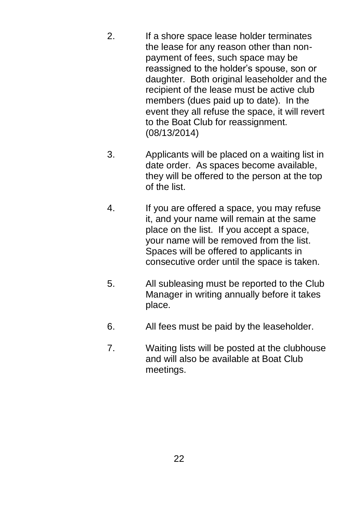- 2. If a shore space lease holder terminates the lease for any reason other than nonpayment of fees, such space may be reassigned to the holder's spouse, son or daughter. Both original leaseholder and the recipient of the lease must be active club members (dues paid up to date). In the event they all refuse the space, it will revert to the Boat Club for reassignment. (08/13/2014)
- 3. Applicants will be placed on a waiting list in date order. As spaces become available, they will be offered to the person at the top of the list.
- 4. If you are offered a space, you may refuse it, and your name will remain at the same place on the list. If you accept a space, your name will be removed from the list. Spaces will be offered to applicants in consecutive order until the space is taken.
- 5. All subleasing must be reported to the Club Manager in writing annually before it takes place.
- 6. All fees must be paid by the leaseholder.
- 7. Waiting lists will be posted at the clubhouse and will also be available at Boat Club meetings.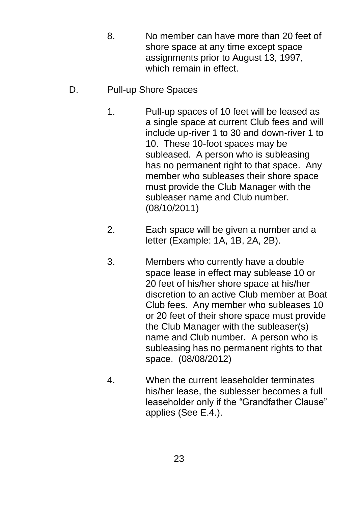- 8. No member can have more than 20 feet of shore space at any time except space assignments prior to August 13, 1997, which remain in effect.
- D. Pull-up Shore Spaces
	- 1. Pull-up spaces of 10 feet will be leased as a single space at current Club fees and will include up-river 1 to 30 and down-river 1 to 10. These 10-foot spaces may be subleased. A person who is subleasing has no permanent right to that space. Any member who subleases their shore space must provide the Club Manager with the subleaser name and Club number. (08/10/2011)
	- 2. Each space will be given a number and a letter (Example: 1A, 1B, 2A, 2B).
	- 3. Members who currently have a double space lease in effect may sublease 10 or 20 feet of his/her shore space at his/her discretion to an active Club member at Boat Club fees. Any member who subleases 10 or 20 feet of their shore space must provide the Club Manager with the subleaser(s) name and Club number. A person who is subleasing has no permanent rights to that space. (08/08/2012)
	- 4. When the current leaseholder terminates his/her lease, the sublesser becomes a full leaseholder only if the "Grandfather Clause" applies (See E.4.).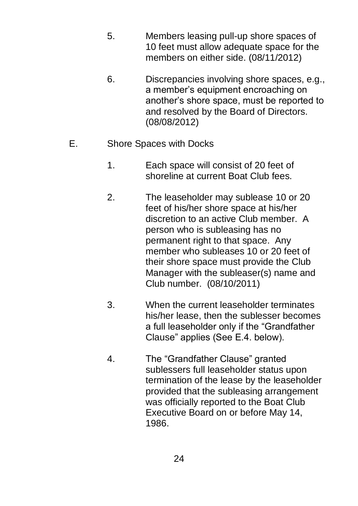- 5. Members leasing pull-up shore spaces of 10 feet must allow adequate space for the members on either side. (08/11/2012)
- 6. Discrepancies involving shore spaces, e.g., a member's equipment encroaching on another's shore space, must be reported to and resolved by the Board of Directors. (08/08/2012)
- E. Shore Spaces with Docks
	- 1. Each space will consist of 20 feet of shoreline at current Boat Club fees.
	- 2. The leaseholder may sublease 10 or 20 feet of his/her shore space at his/her discretion to an active Club member. A person who is subleasing has no permanent right to that space. Any member who subleases 10 or 20 feet of their shore space must provide the Club Manager with the subleaser(s) name and Club number. (08/10/2011)
	- 3. When the current leaseholder terminates his/her lease, then the sublesser becomes a full leaseholder only if the "Grandfather Clause" applies (See E.4. below).
	- 4. The "Grandfather Clause" granted sublessers full leaseholder status upon termination of the lease by the leaseholder provided that the subleasing arrangement was officially reported to the Boat Club Executive Board on or before May 14, 1986.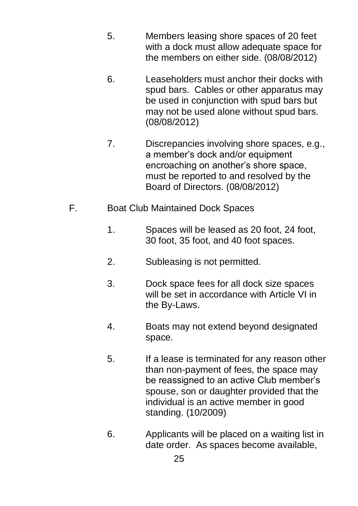- 5. Members leasing shore spaces of 20 feet with a dock must allow adequate space for the members on either side. (08/08/2012)
- 6. Leaseholders must anchor their docks with spud bars. Cables or other apparatus may be used in conjunction with spud bars but may not be used alone without spud bars. (08/08/2012)
- 7. Discrepancies involving shore spaces, e.g., a member's dock and/or equipment encroaching on another's shore space, must be reported to and resolved by the Board of Directors. (08/08/2012)
- F. Boat Club Maintained Dock Spaces
	- 1. Spaces will be leased as 20 foot, 24 foot, 30 foot, 35 foot, and 40 foot spaces.
	- 2. Subleasing is not permitted.
	- 3. Dock space fees for all dock size spaces will be set in accordance with Article VI in the By-Laws.
	- 4. Boats may not extend beyond designated space.
	- 5. If a lease is terminated for any reason other than non-payment of fees, the space may be reassigned to an active Club member's spouse, son or daughter provided that the individual is an active member in good standing. (10/2009)
	- 6. Applicants will be placed on a waiting list in date order. As spaces become available,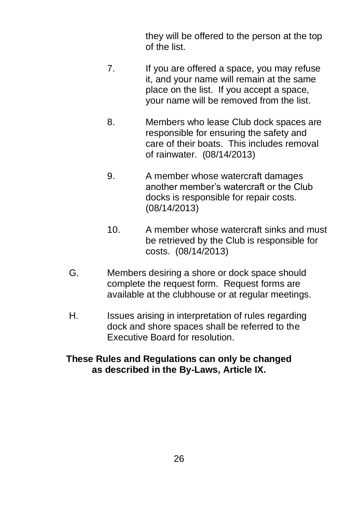they will be offered to the person at the top of the list.

- 7. If you are offered a space, you may refuse it, and your name will remain at the same place on the list. If you accept a space, your name will be removed from the list.
- 8. Members who lease Club dock spaces are responsible for ensuring the safety and care of their boats. This includes removal of rainwater. (08/14/2013)
- 9. A member whose watercraft damages another member's watercraft or the Club docks is responsible for repair costs. (08/14/2013)
- 10. A member whose watercraft sinks and must be retrieved by the Club is responsible for costs. (08/14/2013)
- G. Members desiring a shore or dock space should complete the request form. Request forms are available at the clubhouse or at regular meetings.
- H. Issues arising in interpretation of rules regarding dock and shore spaces shall be referred to the Executive Board for resolution.

#### **These Rules and Regulations can only be changed as described in the By-Laws, Article IX.**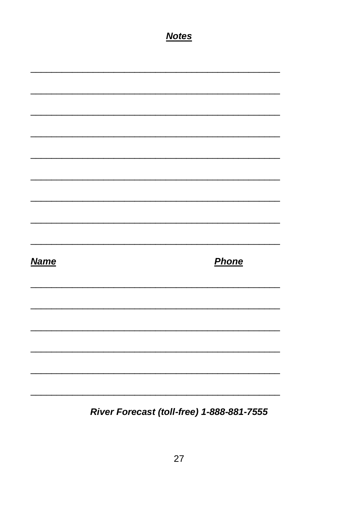|             | <b>Notes</b> |  |       |
|-------------|--------------|--|-------|
|             |              |  |       |
|             |              |  |       |
|             |              |  |       |
|             |              |  |       |
|             |              |  |       |
|             |              |  |       |
|             |              |  |       |
|             |              |  |       |
|             |              |  |       |
| <b>Name</b> |              |  | Phone |
|             |              |  |       |
|             |              |  |       |
|             |              |  |       |
|             |              |  |       |
|             |              |  |       |

River Forecast (toll-free) 1-888-881-7555